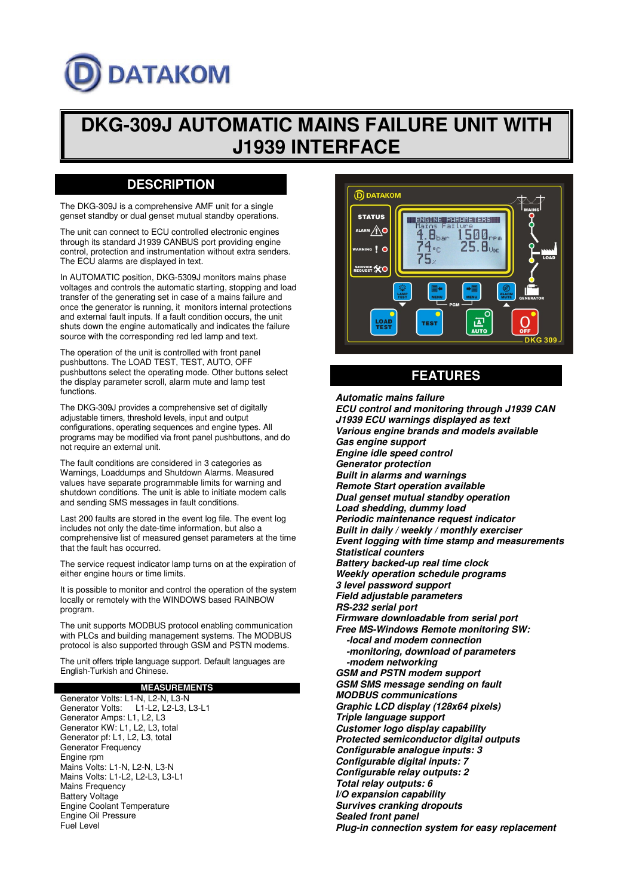# **DATAKOM**

## **DKG-309J AUTOMATIC MAINS FAILURE UNIT WITH J1939 INTERFACE**

## **DESCRIPTION**

The DKG-309J is a comprehensive AMF unit for a single genset standby or dual genset mutual standby operations.

The unit can connect to ECU controlled electronic engines through its standard J1939 CANBUS port providing engine control, protection and instrumentation without extra senders. The ECU alarms are displayed in text.

In AUTOMATIC position, DKG-5309J monitors mains phase voltages and controls the automatic starting, stopping and load transfer of the generating set in case of a mains failure and once the generator is running, it monitors internal protections and external fault inputs. If a fault condition occurs, the unit shuts down the engine automatically and indicates the failure source with the corresponding red led lamp and text.

The operation of the unit is controlled with front panel pushbuttons. The LOAD TEST, TEST, AUTO, OFF pushbuttons select the operating mode. Other buttons select the display parameter scroll, alarm mute and lamp test functions.

The DKG-309J provides a comprehensive set of digitally adjustable timers, threshold levels, input and output configurations, operating sequences and engine types. All programs may be modified via front panel pushbuttons, and do not require an external unit.

The fault conditions are considered in 3 categories as Warnings, Loaddumps and Shutdown Alarms. Measured values have separate programmable limits for warning and shutdown conditions. The unit is able to initiate modem calls and sending SMS messages in fault conditions.

Last 200 faults are stored in the event log file. The event log includes not only the date-time information, but also a comprehensive list of measured genset parameters at the time that the fault has occurred.

The service request indicator lamp turns on at the expiration of either engine hours or time limits.

It is possible to monitor and control the operation of the system locally or remotely with the WINDOWS based RAINBOW program.

The unit supports MODBUS protocol enabling communication with PLCs and building management systems. The MODBUS protocol is also supported through GSM and PSTN modems.

The unit offers triple language support. Default languages are English-Turkish and Chinese.

#### **MEASUREMENTS**

Generator Volts: L1-N, L2-N, L3-N<br>Generator Volts: L1-L2. L2-L3. L1-L2, L2-L3, L3-L1 Generator Amps: L1, L2, L3 Generator KW: L1, L2, L3, total Generator pf: L1, L2, L3, total Generator Frequency Engine rpm Mains Volts: L1-N, L2-N, L3-N Mains Volts: L1-L2, L2-L3, L3-L1 Mains Frequency Battery Voltage Engine Coolant Temperature Engine Oil Pressure Fuel Level



## **FEATURES**

**Automatic mains failure ECU control and monitoring through J1939 CAN J1939 ECU warnings displayed as text Various engine brands and models available Gas engine support Engine idle speed control Generator protection Built in alarms and warnings Remote Start operation available Dual genset mutual standby operation Load shedding, dummy load Periodic maintenance request indicator Built in daily / weekly / monthly exerciser Event logging with time stamp and measurements Statistical counters Battery backed-up real time clock Weekly operation schedule programs 3 level password support Field adjustable parameters RS-232 serial port Firmware downloadable from serial port Free MS-Windows Remote monitoring SW: -local and modem connection -monitoring, download of parameters -modem networking GSM and PSTN modem support GSM SMS message sending on fault MODBUS communications Graphic LCD display (128x64 pixels) Triple language support Customer logo display capability Protected semiconductor digital outputs Configurable analogue inputs: 3 Configurable digital inputs: 7 Configurable relay outputs: 2 Total relay outputs: 6 I/O expansion capability Survives cranking dropouts Sealed front panel Plug-in connection system for easy replacement**